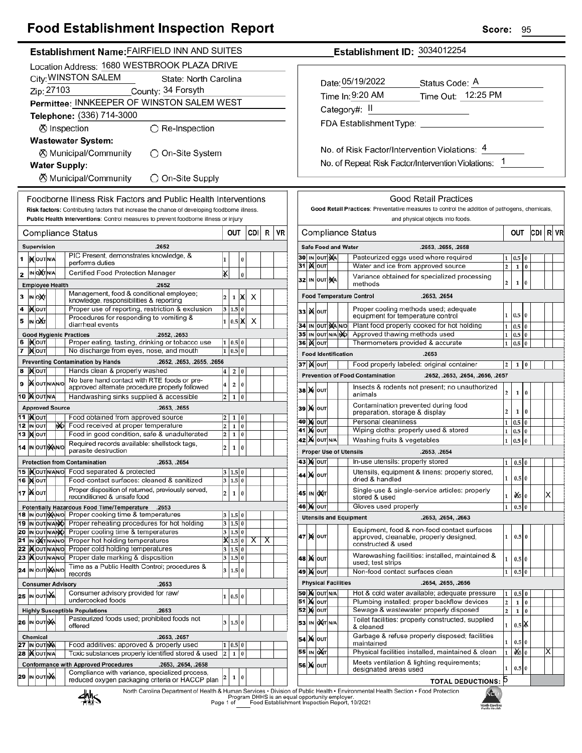## **Food Establishment Inspection Report**

| Establishment Name: FAIRFIELD INN AND SUITES                                                                                                                         | Establishment ID: 3034012254                                                                                                                                          |  |  |  |  |  |
|----------------------------------------------------------------------------------------------------------------------------------------------------------------------|-----------------------------------------------------------------------------------------------------------------------------------------------------------------------|--|--|--|--|--|
| Location Address: 1680 WESTBROOK PLAZA DRIVE                                                                                                                         |                                                                                                                                                                       |  |  |  |  |  |
| City: WINSTON SALEM<br>State: North Carolina                                                                                                                         |                                                                                                                                                                       |  |  |  |  |  |
| Zip: 27103<br>County: 34 Forsyth                                                                                                                                     | Date: 05/19/2022<br>Status Code: A                                                                                                                                    |  |  |  |  |  |
| Permittee: INNKEEPER OF WINSTON SALEM WEST                                                                                                                           | Time Out: 12:25 PM<br>Time In: 9:20 AM                                                                                                                                |  |  |  |  |  |
| Telephone: (336) 714-3000                                                                                                                                            | Category#: II                                                                                                                                                         |  |  |  |  |  |
|                                                                                                                                                                      |                                                                                                                                                                       |  |  |  |  |  |
| ⊗ Inspection<br>$\bigcirc$ Re-Inspection                                                                                                                             |                                                                                                                                                                       |  |  |  |  |  |
| <b>Wastewater System:</b>                                                                                                                                            | No. of Risk Factor/Intervention Violations: 4                                                                                                                         |  |  |  |  |  |
| K Municipal/Community<br>◯ On-Site System                                                                                                                            |                                                                                                                                                                       |  |  |  |  |  |
| <b>Water Supply:</b>                                                                                                                                                 | No. of Repeat Risk Factor/Intervention Violations: 1                                                                                                                  |  |  |  |  |  |
| <b><math>\oslash</math> Municipal/Community</b><br>◯ On-Site Supply                                                                                                  |                                                                                                                                                                       |  |  |  |  |  |
|                                                                                                                                                                      |                                                                                                                                                                       |  |  |  |  |  |
| Foodborne Illness Risk Factors and Public Health Interventions<br>Risk factors: Contributing factors that increase the chance of developing foodborne illness.       | <b>Good Retail Practices</b><br>Good Retail Practices: Preventative measures to control the addition of pathogens, chemicals,                                         |  |  |  |  |  |
| Public Health Interventions: Control measures to prevent foodborne illness or injury                                                                                 | and physical objects into foods.                                                                                                                                      |  |  |  |  |  |
| <b>VR</b><br>CDI<br>R<br>OUT<br><b>Compliance Status</b>                                                                                                             | CDI R VR<br><b>Compliance Status</b><br>OUT                                                                                                                           |  |  |  |  |  |
|                                                                                                                                                                      |                                                                                                                                                                       |  |  |  |  |  |
| <b>Supervision</b><br>.2652<br>PIC Present, demonstrates knowledge, &                                                                                                | <b>Safe Food and Water</b><br>.2653, .2655, .2658<br>30 IN OUT NA<br>Pasteurized eggs used where required                                                             |  |  |  |  |  |
| 1 XOUTNA<br>$\bf{0}$<br>performs duties                                                                                                                              | $0.5 \ 0$<br><b>31 MOUT</b><br>Water and ice from approved source<br>$\overline{a}$<br>$1\,0$                                                                         |  |  |  |  |  |
| X<br>IN OCT N/A<br>Certified Food Protection Manager<br>2<br>$\pmb{0}$                                                                                               | Variance obtained for specialized processing<br>32 IN OUT NA                                                                                                          |  |  |  |  |  |
| <b>Employee Health</b><br>.2652                                                                                                                                      | 2 <sup>1</sup><br>$1\,0$<br>methods                                                                                                                                   |  |  |  |  |  |
| Management, food & conditional employee;<br>3 IN OXT<br>$\overline{2}$<br>$\mathbf 1$<br>X<br>X<br>knowledge, responsibilities & reporting                           | <b>Food Temperature Control</b><br>.2653, .2654                                                                                                                       |  |  |  |  |  |
| Proper use of reporting, restriction & exclusion<br>4   Nout<br>3   1.5   0                                                                                          | Proper cooling methods used; adequate<br>33 K OUT<br>$1 \vert 0.5 \vert 0$                                                                                            |  |  |  |  |  |
| Procedures for responding to vomiting &<br>IN OXT<br>5<br>$\times$<br>$0.5 \mathbb{X} $<br>diarrheal events                                                          | equipment for temperature control<br>Plant food properly cooked for hot holding<br>34 IN OUT MANO<br>$0.5\,$ 0<br>$\mathbf{1}$                                        |  |  |  |  |  |
| .2652, .2653<br><b>Good Hygienic Practices</b>                                                                                                                       | 35 IN OUT N/A NO<br>Approved thawing methods used<br>$0.5\vert 0$<br>$\mathbf 1$                                                                                      |  |  |  |  |  |
| 6  Kout<br>Proper eating, tasting, drinking or tobacco use<br>1   0.5   0<br>1 0.5 0                                                                                 | 36 <b>X</b> out<br>Thermometers provided & accurate<br>$0.5\vert 0$<br>$\mathbf{1}$                                                                                   |  |  |  |  |  |
| 7 Mour<br>No discharge from eyes, nose, and mouth<br><b>Preventing Contamination by Hands</b><br>.2652, .2653, .2655, .2656                                          | <b>Food Identification</b><br>.2653                                                                                                                                   |  |  |  |  |  |
| Hands clean & properly washed<br>8 MOUT<br>4<br>2 0                                                                                                                  | <b>37 ) (</b> олт<br>Food properly labeled: original container<br>$1 \vert 0$<br>2 <sub>1</sub>                                                                       |  |  |  |  |  |
| No bare hand contact with RTE foods or pre-<br>9 XOUTNANO<br>2 0                                                                                                     | <b>Prevention of Food Contamination</b><br>.2652, .2653, .2654, .2656, .2657                                                                                          |  |  |  |  |  |
| approved alternate procedure properly followed<br>10 MOUTNA<br>Handwashing sinks supplied & accessible<br>2<br>$1 \mid 0$                                            | Insects & rodents not present; no unauthorized<br><b>38 М</b> олт<br>$\mathbf{2}$<br>$1\quad0$<br>animals                                                             |  |  |  |  |  |
| <b>Approved Source</b><br>.2653, .2655                                                                                                                               | Contamination prevented during food<br>39 X OUT                                                                                                                       |  |  |  |  |  |
| <b>11  </b> Молт<br>Food obtained from approved source<br>$\overline{2}$<br> 0<br>1                                                                                  | 2 <sup>1</sup><br>$1 \vert 0$<br>preparation, storage & display                                                                                                       |  |  |  |  |  |
| Food received at proper temperature<br>12 IN OUT<br>N <sub>D</sub><br>$ 0\rangle$<br>2<br>$\mathbf 1$                                                                | <b>40 M OUT</b><br>Personal cleanliness<br>$\vert 0.5 \vert 0 \vert$<br>1<br><b>41 X OUT</b><br>Wiping cloths: properly used & stored<br>$0.5\vert 0$<br>$\mathbf{1}$ |  |  |  |  |  |
| Food in good condition, safe & unadulterated<br>13   Ю   ОUТ<br>$\overline{2}$<br>1<br>$ 0\rangle$                                                                   | 42 X OUT N/A<br>Washing fruits & vegetables<br>$0.5\vert 0$<br>$\mathbf{1}$                                                                                           |  |  |  |  |  |
| Required records available: shellstock tags,<br>14 IN OUT NAINO<br>${\bf 1}$<br>$ 0\rangle$<br>parasite destruction<br><b>Proper Use of Utensils</b><br>.2653, .2654 |                                                                                                                                                                       |  |  |  |  |  |
| <b>Protection from Contamination</b><br>.2653, .2654                                                                                                                 | 43 Х оит<br>In-use utensils: properly stored<br>1<br>0.50                                                                                                             |  |  |  |  |  |
| 15  Xout NAN O Food separated & protected<br>3   1.5   0                                                                                                             | Utensils, equipment & linens: properly stored,<br>44 X OUT<br>1                                                                                                       |  |  |  |  |  |
| <b>16 MOUT</b><br>Food-contact surfaces: cleaned & sanitized<br>3 1.5 0                                                                                              | $0.5\,0$<br>dried & handled                                                                                                                                           |  |  |  |  |  |
| Proper disposition of returned, previously served,<br>17   NOUT<br>1 0<br>$\overline{2}$<br>reconditioned & unsafe food                                              | Single-use & single-service articles: properly<br>45 IN OXT<br>х<br>$\frac{d}{5}$ 0<br>1<br>stored & used                                                             |  |  |  |  |  |
| Potentially Hazardous Food Time/Temperature .2653                                                                                                                    | Gloves used properly<br>46 X OUT<br>$0.5\vert 0$<br>$\mathbf{1}$                                                                                                      |  |  |  |  |  |
| 18 In out Man/o Proper cooking time & temperatures<br>3   1.5   0<br>3 1.5 0<br>19 IN OUT N/ANO Proper reheating procedures for hot holding                          | <b>Utensils and Equipment</b><br>.2653, .2654, .2663                                                                                                                  |  |  |  |  |  |
| 20 IN OUT N/ANO Proper cooling time & temperatures<br>3   1.5   0                                                                                                    | Equipment, food & non-food contact surfaces                                                                                                                           |  |  |  |  |  |
| 21 IN ONTINANIO Proper hot holding temperatures<br>$\overline{\mathbf{X}}$ 1.5 0 $\overline{\mathbf{X}}$<br>$\overline{\mathsf{x}}$                                  | $0.5\vert 0$<br> 47 M ou⊤<br>approved, cleanable, properly designed,<br>$\mathbf{1}$<br>constructed & used                                                            |  |  |  |  |  |
| 22   <b>K</b> out NAN No Proper cold holding temperatures<br>3 1.5 0<br>23 Xout NANO Proper date marking & disposition<br>$3 \ 1.5 \ 0$                              | Warewashing facilities: installed, maintained &<br>48   N   ouт<br>$0.5\vert 0$<br>1                                                                                  |  |  |  |  |  |
| Time as a Public Health Control; procedures &<br>24 IN OUT NAINO<br>3   1.5   0                                                                                      | used; test strips                                                                                                                                                     |  |  |  |  |  |
| records                                                                                                                                                              | Non-food contact surfaces clean<br><b>49 MOUT</b><br>$0.5\vert 0$<br>1                                                                                                |  |  |  |  |  |
| <b>Consumer Advisory</b><br>.2653<br>Consumer advisory provided for raw/                                                                                             | <b>Physical Facilities</b><br>.2654, .2655, .2656<br><b>50 X OUT N/A</b><br>Hot & cold water available; adequate pressure                                             |  |  |  |  |  |
| 25 IN OUT NA<br> 0.5 0<br>undercooked foods                                                                                                                          | $0.5\,0$<br>1<br><b>51 Mour</b><br>Plumbing installed; proper backflow devices<br>$\mathbf{2}$<br>$1\quad0$                                                           |  |  |  |  |  |
| <b>Highly Susceptible Populations</b><br>.2653                                                                                                                       | <b>52 MOUT</b><br>Sewage & wastewater properly disposed<br>$\overline{\mathbf{c}}$<br>$1\,0$                                                                          |  |  |  |  |  |
| Pasteurized foods used; prohibited foods not<br>26 IN OUT NA<br>3   1.5   0<br>offered                                                                               | Toilet facilities: properly constructed, supplied<br>53 IN OXT N/A<br>$0.5$ $\chi$<br>$\mathbf{1}$<br>& cleaned                                                       |  |  |  |  |  |
| .2653, .2657<br>Chemical                                                                                                                                             | Garbage & refuse properly disposed; facilities<br>54 X OUT                                                                                                            |  |  |  |  |  |
| 27 IN OUT NA<br>Food additives: approved & properly used<br>1   0.5   0                                                                                              | $0.5\vert 0$<br>maintained                                                                                                                                            |  |  |  |  |  |
| 28   OUT N/A<br>Toxic substances properly identified stored & used<br>$1 \vert 0$<br>$\overline{2}$                                                                  | 55 IN OXT<br>Physical facilities installed, maintained & clean<br>0.50<br>ΙX<br>Meets ventilation & lighting requirements;                                            |  |  |  |  |  |
| <b>Conformance with Approved Procedures</b><br>.2653, .2654, .2658<br>Compliance with variance, specialized process,                                                 | 56 X OUT<br>$0.5\vert 0$<br>1<br>designated areas used                                                                                                                |  |  |  |  |  |
| 29 IN OUT NA<br>$\mathbf 1$<br>0<br>reduced oxygen packaging criteria or HACCP plan<br><b>TOTAL DEDUCTIONS: 5</b>                                                    |                                                                                                                                                                       |  |  |  |  |  |

North Carolina Department of Health & Human Services • Division of Public Health • Environmental Health Section • Food Protection<br>Program DHHS is an equal opportunity employer.<br>Page 1 of Caroling Food Establishment Inspect

熱



Score: 95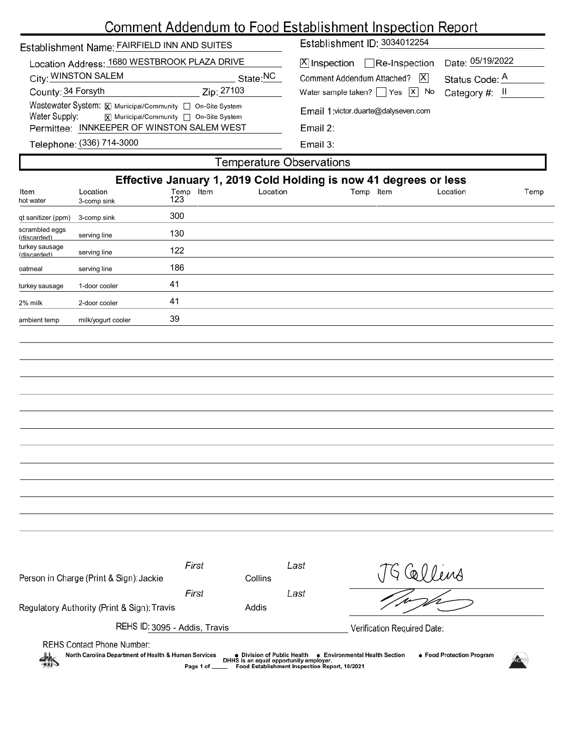# Comment Addendum to Food Establishment Inspection Report

| Establishment Name: FAIRFIELD INN AND SUITES                                                                                                                                                                                                                                                                                                     |                                                                                        |                                                                                                                  |          | ----------------<br>Establishment ID: 3034012254                                                                                                                                                                                           |  |          |      |
|--------------------------------------------------------------------------------------------------------------------------------------------------------------------------------------------------------------------------------------------------------------------------------------------------------------------------------------------------|----------------------------------------------------------------------------------------|------------------------------------------------------------------------------------------------------------------|----------|--------------------------------------------------------------------------------------------------------------------------------------------------------------------------------------------------------------------------------------------|--|----------|------|
| Location Address: 1680 WESTBROOK PLAZA DRIVE<br>City: WINSTON SALEM<br>State:NC<br>Zip: 27103<br>County: 34 Forsyth<br>Wastewater System: X Municipal/Community non-Site System<br>Water Supply:<br>$\overline{\mathbf{x}}$ Municipal/Community $\Box$ On-Site System<br>Permittee: INNKEEPER OF WINSTON SALEM WEST<br>Telephone: (336) 714-3000 |                                                                                        |                                                                                                                  |          | Date: 05/19/2022<br>$[X]$ Inspection Re-Inspection<br><b>Comment Addendum Attached?</b><br> X <br>Status Code: A<br>Water sample taken? $\sqrt{X}$<br>No<br>Category #: II<br>Email 1: victor.duarte@dalyseven.com<br>Email 2:<br>Email 3: |  |          |      |
|                                                                                                                                                                                                                                                                                                                                                  |                                                                                        |                                                                                                                  |          | <b>Temperature Observations</b>                                                                                                                                                                                                            |  |          |      |
| Item<br>hot water<br>qt sanitizer (ppm)<br>scrambled eggs<br>(hehreozih)<br>turkey sausage<br>(discarded)<br>oatmeal                                                                                                                                                                                                                             | Location<br>3-comp sink<br>3-comp sink<br>serving line<br>serving line<br>serving line | Effective January 1, 2019 Cold Holding is now 41 degrees or less<br>Temp Item<br>123<br>300<br>130<br>122<br>186 | Location | Temp Item                                                                                                                                                                                                                                  |  | Location | Temp |
| turkey sausage                                                                                                                                                                                                                                                                                                                                   | 1-door cooler                                                                          | 41                                                                                                               |          |                                                                                                                                                                                                                                            |  |          |      |
| 2% milk<br>ambient temp                                                                                                                                                                                                                                                                                                                          | 2-door cooler<br>milk/yogurt cooler                                                    | 41<br>39                                                                                                         |          |                                                                                                                                                                                                                                            |  |          |      |
|                                                                                                                                                                                                                                                                                                                                                  |                                                                                        |                                                                                                                  |          |                                                                                                                                                                                                                                            |  |          |      |

| Person in Charge (Print & Sign): Jackie                               | First        | Last<br>Collins                                                                                                        | Collins                                                     |  |
|-----------------------------------------------------------------------|--------------|------------------------------------------------------------------------------------------------------------------------|-------------------------------------------------------------|--|
|                                                                       | First        | Last                                                                                                                   |                                                             |  |
| Regulatory Authority (Print & Sign): Travis                           |              | Addis                                                                                                                  |                                                             |  |
| REHS ID: 3095 - Addis, Travis                                         |              |                                                                                                                        | Verification Required Date:                                 |  |
| <b>REHS Contact Phone Number:</b>                                     |              |                                                                                                                        |                                                             |  |
| North Carolina Department of Health & Human Services<br>$\frac{1}{2}$ | Page 1 of __ | ● Division of Public Health<br>DHHS is an equal opportunity employer.<br>Food Establishment Inspection Report, 10/2021 | • Food Protection Program<br>● Environmental Health Section |  |